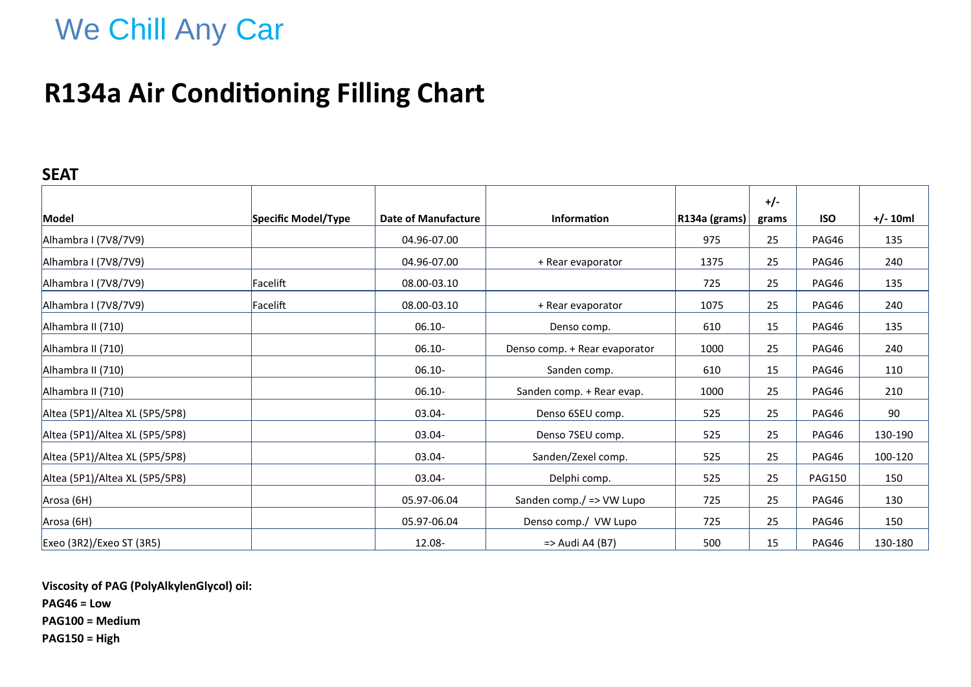# We Chill Any Car

## **R134a Air Conditioning Filling Chart**

### **SEAT**

|                                |                     |                            |                               |                               | $+/-$ |               |            |
|--------------------------------|---------------------|----------------------------|-------------------------------|-------------------------------|-------|---------------|------------|
| Model                          | Specific Model/Type | <b>Date of Manufacture</b> | <b>Information</b>            | $\vert$ R134a (grams) $\vert$ | grams | <b>ISO</b>    | $+/- 10ml$ |
| Alhambra I (7V8/7V9)           |                     | 04.96-07.00                |                               | 975                           | 25    | PAG46         | 135        |
| Alhambra I (7V8/7V9)           |                     | 04.96-07.00                | + Rear evaporator             | 1375                          | 25    | PAG46         | 240        |
| Alhambra I (7V8/7V9)           | Facelift            | 08.00-03.10                |                               | 725                           | 25    | PAG46         | 135        |
| Alhambra I (7V8/7V9)           | Facelift            | 08.00-03.10                | + Rear evaporator             | 1075                          | 25    | PAG46         | 240        |
| Alhambra II (710)              |                     | $06.10 -$                  | Denso comp.                   | 610                           | 15    | PAG46         | 135        |
| Alhambra II (710)              |                     | $06.10 -$                  | Denso comp. + Rear evaporator | 1000                          | 25    | PAG46         | 240        |
| Alhambra II (710)              |                     | $06.10 -$                  | Sanden comp.                  | 610                           | 15    | PAG46         | 110        |
| Alhambra II (710)              |                     | $06.10 -$                  | Sanden comp. + Rear evap.     | 1000                          | 25    | PAG46         | 210        |
| Altea (5P1)/Altea XL (5P5/5P8) |                     | 03.04-                     | Denso 6SEU comp.              | 525                           | 25    | PAG46         | 90         |
| Altea (5P1)/Altea XL (5P5/5P8) |                     | $03.04 -$                  | Denso 7SEU comp.              | 525                           | 25    | PAG46         | 130-190    |
| Altea (5P1)/Altea XL (5P5/5P8) |                     | $03.04 -$                  | Sanden/Zexel comp.            | 525                           | 25    | PAG46         | 100-120    |
| Altea (5P1)/Altea XL (5P5/5P8) |                     | 03.04-                     | Delphi comp.                  | 525                           | 25    | <b>PAG150</b> | 150        |
| Arosa (6H)                     |                     | 05.97-06.04                | Sanden comp./ => VW Lupo      | 725                           | 25    | PAG46         | 130        |
| Arosa (6H)                     |                     | 05.97-06.04                | Denso comp./ VW Lupo          | 725                           | 25    | PAG46         | 150        |
| Exeo (3R2)/Exeo ST (3R5)       |                     | 12.08-                     | => Audi A4 (B7)               | 500                           | 15    | PAG46         | 130-180    |

**Viscosity of PAG (PolyAlkylenGlycol) oil:**

**PAG46 = Low**

**PAG100 = Medium**

**PAG150 = High**